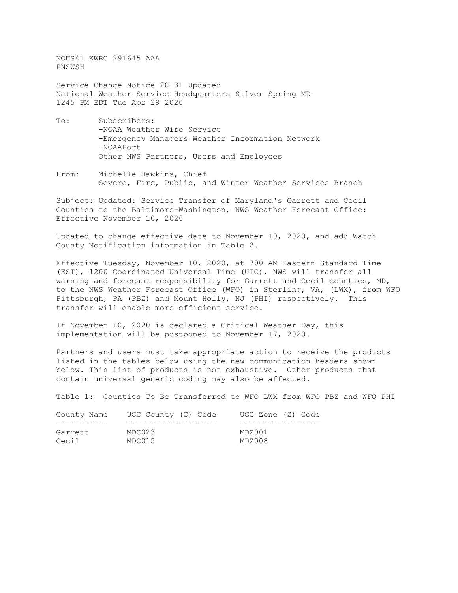NOUS41 KWBC 291645 AAA PNSWSH

Service Change Notice 20-31 Updated National Weather Service Headquarters Silver Spring MD 1245 PM EDT Tue Apr 29 2020

- To: Subscribers: -NOAA Weather Wire Service -Emergency Managers Weather Information Network -NOAAPort Other NWS Partners, Users and Employees
- From: Michelle Hawkins, Chief Severe, Fire, Public, and Winter Weather Services Branch

Subject: Updated: Service Transfer of Maryland's Garrett and Cecil Counties to the Baltimore-Washington, NWS Weather Forecast Office: Effective November 10, 2020

Updated to change effective date to November 10, 2020, and add Watch County Notification information in Table 2.

Effective Tuesday, November 10, 2020, at 700 AM Eastern Standard Time (EST), 1200 Coordinated Universal Time (UTC), NWS will transfer all warning and forecast responsibility for Garrett and Cecil counties, MD, to the NWS Weather Forecast Office (WFO) in Sterling, VA, (LWX), from WFO Pittsburgh, PA (PBZ) and Mount Holly, NJ (PHI) respectively. This transfer will enable more efficient service.

If November 10, 2020 is declared a Critical Weather Day, this implementation will be postponed to November 17, 2020.

Partners and users must take appropriate action to receive the products listed in the tables below using the new communication headers shown below. This list of products is not exhaustive. Other products that contain universal generic coding may also be affected.

Table 1: Counties To Be Transferred to WFO LWX from WFO PBZ and WFO PHI

| County Name | UGC County (C) Code | UGC Zone (Z) Code |
|-------------|---------------------|-------------------|
|             |                     |                   |
| Garrett     | MDC023              | MDZ001            |
| Cecil       | MDC015              | MDZ008            |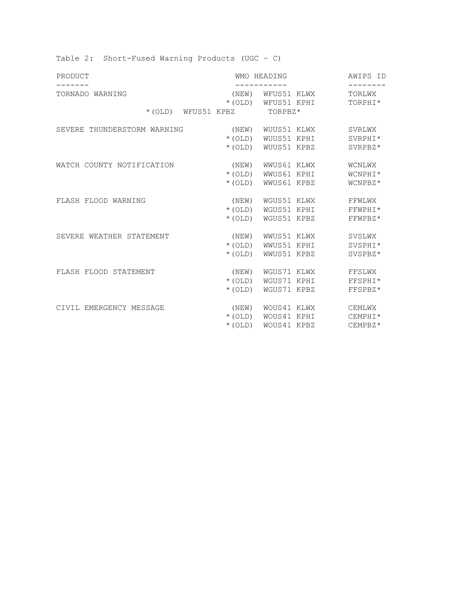| PRODUCT                     |                            | <b>WMO HEADING</b>                      |                   |
|-----------------------------|----------------------------|-----------------------------------------|-------------------|
| TORNADO WARNING             |                            | (NEW) WFUS51 KLWX<br>*(OLD) WFUS51 KPHI | TORLWX<br>TORPHI* |
|                             | *(OLD) WFUS51 KPBZ TORPBZ* |                                         |                   |
| SEVERE THUNDERSTORM WARNING |                            | (NEW) WUUS51 KLWX                       | SVRLWX            |
|                             |                            | *(OLD) WUUS51 KPHI                      | SVRPHI*           |
|                             |                            | * (OLD) WUUS51 KPBZ                     | SVRPBZ*           |
| WATCH COUNTY NOTIFICATION   | (NEW)                      | WWUS61 KLWX                             | WCNLWX            |
|                             |                            | * (OLD) WWUS61 KPHI                     | WCNPHI*           |
|                             | $*(OLD)$                   | WWUS61 KPBZ                             | WCNPBZ*           |
| FLASH FLOOD WARNING         | (NEW)                      | WGUS51 KLWX                             | FFWLWX            |
|                             |                            | * (OLD) WGUS51 KPHI                     | FFWPHI*           |
|                             | $*(OLD)$                   | WGUS51 KPBZ                             | FFWPBZ*           |
| SEVERE WEATHER STATEMENT    | (NEW)                      | WWUS51 KLWX                             | SVSLWX            |
|                             |                            | *(OLD) WWUS51 KPHI                      | SVSPHI*           |
|                             | $*(OLD)$                   | WWUS51 KPBZ                             | SVSPBZ*           |
| FLASH FLOOD STATEMENT       | (NEW)                      | WGUS71 KLWX                             | FFSLWX            |
|                             |                            | * (OLD) WGUS71 KPHI                     | FFSPHI*           |
|                             | $*(OLD)$                   | WGUS71 KPBZ                             | FFSPBZ*           |
| CIVIL EMERGENCY MESSAGE     |                            | (NEW) WOUS41 KLWX                       | CEMLWX            |
|                             |                            | *(OLD) WOUS41 KPHI                      | CEMPHI*           |
|                             | $*(OLD)$                   | WOUS41 KPBZ                             | CEMPBZ*           |

Table 2: Short-Fused Warning Products (UGC – C)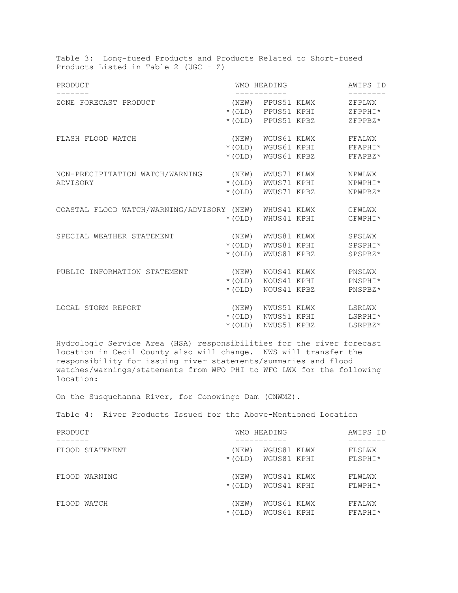| Table 3: Long-fused Products and Products Related to Short-fused<br>Products Listed in Table 2 (UGC - $Z$ ) |          |                                  |          |
|-------------------------------------------------------------------------------------------------------------|----------|----------------------------------|----------|
| PRODUCT                                                                                                     |          | <b>WMO HEADING</b>               | AWIPS ID |
| ZONE FORECAST PRODUCT                                                                                       |          | -----------<br>(NEW) FPUS51 KLWX | ZFPLWX   |
|                                                                                                             |          | * (OLD) FPUS51 KPHI              | ZFPPHI*  |
|                                                                                                             |          | *(OLD) FPUS51 KPBZ               | ZFPPBZ*  |
| FLASH FLOOD WATCH                                                                                           | (NEW)    | WGUS61 KLWX                      | FFALWX   |
|                                                                                                             |          | * (OLD) WGUS61 KPHI              | FFAPHI*  |
|                                                                                                             | $*(OLD)$ | WGUS61 KPBZ                      | FFAPBZ*  |
| NON-PRECIPITATION WATCH/WARNING                                                                             | (NEW)    | WWUS71 KLWX                      | NPWLWX   |
| ADVISORY                                                                                                    | $*(OLD)$ | WWUS71 KPHI                      | NPWPHI*  |
|                                                                                                             | $*(OLD)$ | WWUS71 KPBZ                      | NPWPBZ*  |
| COASTAL FLOOD WATCH/WARNING/ADVISORY (NEW) WHUS41 KLWX                                                      |          |                                  | CFWLWX   |
|                                                                                                             | $*(OLD)$ | WHUS41 KPHI                      | CFWPHI*  |
| SPECIAL WEATHER STATEMENT                                                                                   | (NEW)    | WWUS81 KLWX                      | SPSLWX   |
|                                                                                                             |          | * (OLD) WWUS81 KPHI              | SPSPHI*  |
|                                                                                                             | $*(OLD)$ | WWUS81 KPBZ                      | SPSPBZ*  |
| PUBLIC INFORMATION STATEMENT                                                                                | (NEW)    | NOUS41 KLWX                      | PNSLWX   |
|                                                                                                             | $*(OLD)$ | NOUS41 KPHI                      | PNSPHI*  |
|                                                                                                             | $*(OLD)$ | NOUS41 KPBZ                      | PNSPBZ*  |
| LOCAL STORM REPORT                                                                                          | (NEW)    | NWUS51 KLWX                      | LSRLWX   |
|                                                                                                             |          | * (OLD) NWUS51 KPHI              | LSRPHI*  |
|                                                                                                             | $*(OLD)$ | NWUS51 KPBZ                      | LSRPBZ*  |

Hydrologic Service Area (HSA) responsibilities for the river forecast location in Cecil County also will change. NWS will transfer the responsibility for issuing river statements/summaries and flood watches/warnings/statements from WFO PHI to WFO LWX for the following location:

On the Susquehanna River, for Conowingo Dam (CNWM2).

Table 4: River Products Issued for the Above-Mentioned Location

| PRODUCT         | WMO HEADING                                     | AWIPS ID          |
|-----------------|-------------------------------------------------|-------------------|
| FLOOD STATEMENT | WGUS81 KLWX<br>(NEW)<br>WGUS81 KPHI<br>$*(OLD)$ | FLSLWX<br>FLSPHI* |
| FLOOD WARNING   | (NEW)<br>WGUS41 KLWX<br>WGUS41 KPHI<br>$*(OLD)$ | FLWLWX<br>FLWPHI* |
| FLOOD WATCH     | WGUS61 KLWX<br>(NEW)<br>WGUS61 KPHI<br>$*(OLD)$ | FFALWX<br>FFAPHI* |